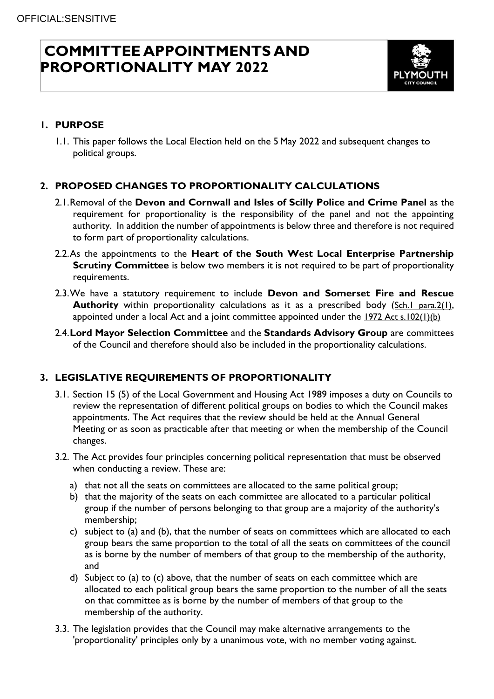# **COMMITTEE APPOINTMENTS AND PROPORTIONALITY MAY 2022**



# **1. PURPOSE**

1.1. This paper follows the Local Election held on the 5 May 2022 and subsequent changes to political groups.

## **2. PROPOSED CHANGES TO PROPORTIONALITY CALCULATIONS**

- 2.1.Removal of the **Devon and Cornwall and Isles of Scilly Police and Crime Panel** as the requirement for proportionality is the responsibility of the panel and not the appointing authority. In addition the number of appointments is below three and therefore is not required to form part of proportionality calculations.
- 2.2.As the appointments to the **Heart of the South West Local Enterprise Partnership Scrutiny Committee** is below two members it is not required to be part of proportionality requirements.
- 2.3.We have a statutory requirement to include **Devon and Somerset Fire and Rescue Authority** within proportionality calculations as it as a prescribed body (Sch.1 [para.2\(1\)](https://eur02.safelinks.protection.outlook.com/?url=https%3A%2F%2Fuk.westlaw.com%2FLink%2FDocument%2FFullText%3FfindType%3DY%26serNum%3D0114210146%26pubNum%3D121177%26originatingDoc%3DI52AC37B0FEEA11E7B77FCF74A33F997E%26refType%3DUL%26originationContext%3Ddocument%26transitionType%3DCommentaryUKLink%26ppcid%3Decabbc20cc68401289e5b07c6a65abba%26contextData%3D(sc.DocLink)%26comp%3Dbooks&data=05%7C01%7CRoss.Jago%40plymouth.gov.uk%7C17c15b74c2ba491b022b08da26a63270%7Ca9a3c3d1fc0f4943bc2ad73e388cc2df%7C0%7C0%7C637864792497203252%7CUnknown%7CTWFpbGZsb3d8eyJWIjoiMC4wLjAwMDAiLCJQIjoiV2luMzIiLCJBTiI6Ik1haWwiLCJXVCI6Mn0%3D%7C3000%7C%7C%7C&sdata=ZEJHHAEMf3NjOXxwwzS0KdjCTSRTi9j2Iw5Hxbac4ic%3D&reserved=0), appointed under a local Act and a joint committee appointed under the 1972 Act [s.102\(1\)\(b\)](https://eur02.safelinks.protection.outlook.com/?url=https%3A%2F%2Fuk.westlaw.com%2FLink%2FDocument%2FFullText%3FfindType%3DY%26serNum%3D0114210710%26pubNum%3D121177%26originatingDoc%3DI52AC37B0FEEA11E7B77FCF74A33F997E%26refType%3DUL%26originationContext%3Ddocument%26transitionType%3DCommentaryUKLink%26ppcid%3Decabbc20cc68401289e5b07c6a65abba%26contextData%3D(sc.DocLink)&data=05%7C01%7CRoss.Jago%40plymouth.gov.uk%7C17c15b74c2ba491b022b08da26a63270%7Ca9a3c3d1fc0f4943bc2ad73e388cc2df%7C0%7C0%7C637864792497203252%7CUnknown%7CTWFpbGZsb3d8eyJWIjoiMC4wLjAwMDAiLCJQIjoiV2luMzIiLCJBTiI6Ik1haWwiLCJXVCI6Mn0%3D%7C3000%7C%7C%7C&sdata=2KwVP6easpX32gG5fjDYzLl%2B4UYRmTmhoVMwYW4khxk%3D&reserved=0)
- 2.4.**Lord Mayor Selection Committee** and the **Standards Advisory Group** are committees of the Council and therefore should also be included in the proportionality calculations.

## **3. LEGISLATIVE REQUIREMENTS OF PROPORTIONALITY**

- 3.1. Section 15 (5) of the Local Government and Housing Act 1989 imposes a duty on Councils to review the representation of different political groups on bodies to which the Council makes appointments. The Act requires that the review should be held at the Annual General Meeting or as soon as practicable after that meeting or when the membership of the Council changes.
- 3.2. The Act provides four principles concerning political representation that must be observed when conducting a review. These are:
	- a) that not all the seats on committees are allocated to the same political group;
	- b) that the majority of the seats on each committee are allocated to a particular political group if the number of persons belonging to that group are a majority of the authority's membership;
	- c) subject to (a) and (b), that the number of seats on committees which are allocated to each group bears the same proportion to the total of all the seats on committees of the council as is borne by the number of members of that group to the membership of the authority, and
	- d) Subject to (a) to (c) above, that the number of seats on each committee which are allocated to each political group bears the same proportion to the number of all the seats on that committee as is borne by the number of members of that group to the membership of the authority.
- 3.3. The legislation provides that the Council may make alternative arrangements to the 'proportionality' principles only by a unanimous vote, with no member voting against.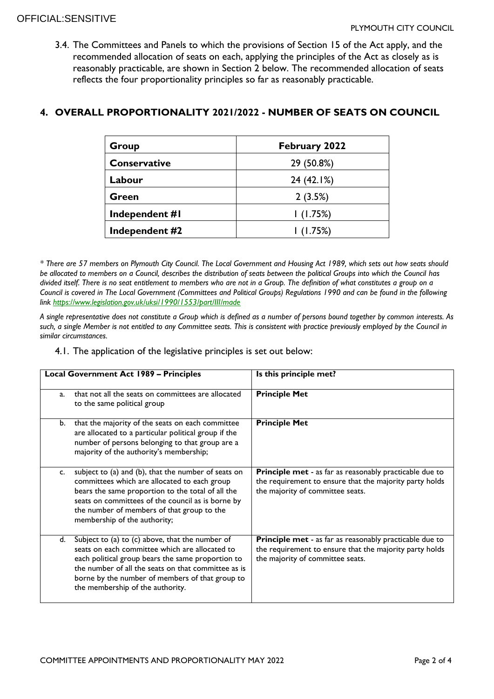3.4. The Committees and Panels to which the provisions of Section 15 of the Act apply, and the recommended allocation of seats on each, applying the principles of the Act as closely as is reasonably practicable, are shown in Section 2 below. The recommended allocation of seats reflects the four proportionality principles so far as reasonably practicable.

### **4. OVERALL PROPORTIONALITY 2021/2022 - NUMBER OF SEATS ON COUNCIL**

| Group               | February 2022 |  |  |  |
|---------------------|---------------|--|--|--|
| <b>Conservative</b> | 29 (50.8%)    |  |  |  |
| Labour              | 24 (42.1%)    |  |  |  |
| Green               | 2(3.5%)       |  |  |  |
| Independent #I      | 1(1.75%)      |  |  |  |
| Independent #2      | 1(1.75%)      |  |  |  |

*\* There are 57 members on Plymouth City Council. The Local Government and Housing Act 1989, which sets out how seats should be allocated to members on a Council, describes the distribution of seats between the political Groups into which the Council has divided itself. There is no seat entitlement to members who are not in a Group. The definition of what constitutes a group on a Council is covered in The Local Government (Committees and Political Groups) Regulations 1990 and can be found in the following link<https://www.legislation.gov.uk/uksi/1990/1553/part/III/made>*

*A single representative does not constitute a Group which is defined as a number of persons bound together by common interests. As such, a single Member is not entitled to any Committee seats. This is consistent with practice previously employed by the Council in similar circumstances.*

4.1. The application of the legislative principles is set out below:

| <b>Local Government Act 1989 - Principles</b> |                                                                                                                                                                                                                                                                                                      | Is this principle met?                                                                                                                                        |  |  |
|-----------------------------------------------|------------------------------------------------------------------------------------------------------------------------------------------------------------------------------------------------------------------------------------------------------------------------------------------------------|---------------------------------------------------------------------------------------------------------------------------------------------------------------|--|--|
| a.                                            | that not all the seats on committees are allocated<br>to the same political group                                                                                                                                                                                                                    | <b>Principle Met</b>                                                                                                                                          |  |  |
| b.                                            | that the majority of the seats on each committee<br>are allocated to a particular political group if the<br>number of persons belonging to that group are a<br>majority of the authority's membership;                                                                                               | <b>Principle Met</b>                                                                                                                                          |  |  |
| C.                                            | subject to (a) and (b), that the number of seats on<br>committees which are allocated to each group<br>bears the same proportion to the total of all the<br>seats on committees of the council as is borne by<br>the number of members of that group to the<br>membership of the authority;          | <b>Principle met - as far as reasonably practicable due to</b><br>the requirement to ensure that the majority party holds<br>the majority of committee seats. |  |  |
| d.                                            | Subject to (a) to (c) above, that the number of<br>seats on each committee which are allocated to<br>each political group bears the same proportion to<br>the number of all the seats on that committee as is<br>borne by the number of members of that group to<br>the membership of the authority. | <b>Principle met - as far as reasonably practicable due to</b><br>the requirement to ensure that the majority party holds<br>the majority of committee seats. |  |  |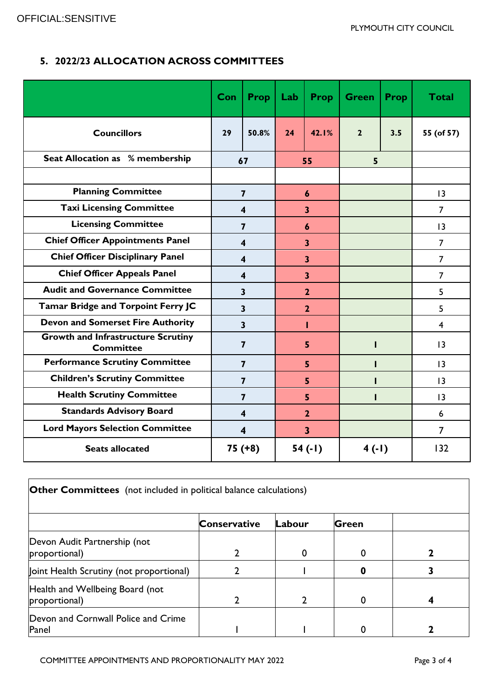# **5. 2022/23 ALLOCATION ACROSS COMMITTEES**

|                                                               | Con                     | <b>Prop</b>             | Lab                     | <b>Prop</b>             | <b>Green</b>   | <b>Prop</b> | <b>Total</b>    |
|---------------------------------------------------------------|-------------------------|-------------------------|-------------------------|-------------------------|----------------|-------------|-----------------|
| <b>Councillors</b>                                            | 29                      | 50.8%                   | 24                      | 42.1%                   | $\overline{2}$ | 3.5         | 55 (of 57)      |
| <b>Seat Allocation as % membership</b>                        | 67                      |                         | 55                      |                         | 5              |             |                 |
|                                                               |                         |                         |                         |                         |                |             |                 |
| <b>Planning Committee</b>                                     | $\overline{\mathbf{z}}$ |                         | $\boldsymbol{6}$        |                         |                |             | 3               |
| <b>Taxi Licensing Committee</b>                               | 4                       |                         | $\overline{\mathbf{3}}$ |                         |                |             | $\overline{7}$  |
| <b>Licensing Committee</b>                                    | $\overline{7}$          |                         | 6                       |                         |                |             | 13              |
| <b>Chief Officer Appointments Panel</b>                       | 4                       |                         | $\overline{\mathbf{3}}$ |                         |                |             | $\overline{7}$  |
| <b>Chief Officer Disciplinary Panel</b>                       | 4                       |                         | 3                       |                         |                |             | 7               |
| <b>Chief Officer Appeals Panel</b>                            | 4                       |                         | $\overline{\mathbf{3}}$ |                         |                |             | $\overline{7}$  |
| <b>Audit and Governance Committee</b>                         | 3                       |                         | $\overline{2}$          |                         |                |             | 5               |
| Tamar Bridge and Torpoint Ferry JC                            |                         | $\overline{\mathbf{3}}$ |                         | $\overline{2}$          |                |             | 5               |
| <b>Devon and Somerset Fire Authority</b>                      |                         | $\overline{\mathbf{3}}$ |                         | ı                       |                |             | 4               |
| <b>Growth and Infrastructure Scrutiny</b><br><b>Committee</b> |                         | $\overline{7}$          | 5                       |                         |                |             | 3               |
| <b>Performance Scrutiny Committee</b>                         |                         | $\overline{7}$          |                         | 5                       |                |             | 3               |
| <b>Children's Scrutiny Committee</b>                          | $\overline{7}$          |                         | 5                       |                         |                |             | $\overline{13}$ |
| <b>Health Scrutiny Committee</b>                              | $\overline{7}$          |                         | 5                       |                         |                |             | 13              |
| <b>Standards Advisory Board</b>                               | $\overline{\mathbf{4}}$ |                         | $\overline{2}$          |                         |                |             | 6               |
| <b>Lord Mayors Selection Committee</b>                        |                         | $\overline{\mathbf{4}}$ |                         | $\overline{\mathbf{3}}$ |                |             | $\overline{7}$  |
| <b>Seats allocated</b>                                        |                         | $75(+8)$                |                         | 54(.1)                  | $4( -1)$       |             | 132             |

| <b>Other Committees</b> (not included in political balance calculations) |                     |        |              |  |  |  |  |  |
|--------------------------------------------------------------------------|---------------------|--------|--------------|--|--|--|--|--|
|                                                                          | <b>Conservative</b> | Labour | <b>Green</b> |  |  |  |  |  |
| Devon Audit Partnership (not<br>proportional)                            |                     | 0      | 0            |  |  |  |  |  |
| Joint Health Scrutiny (not proportional)                                 |                     |        |              |  |  |  |  |  |
| Health and Wellbeing Board (not<br>proportional)                         |                     | າ      | $\Omega$     |  |  |  |  |  |
| Devon and Cornwall Police and Crime<br>Panel                             |                     |        | 0            |  |  |  |  |  |